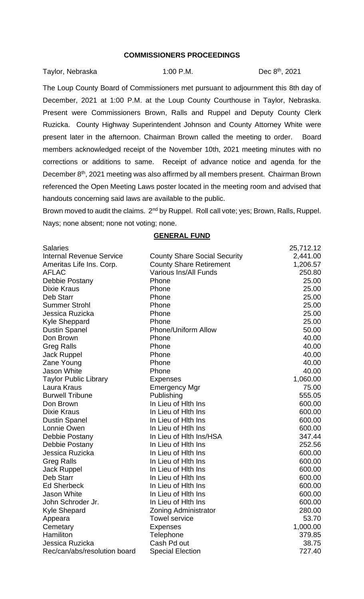## **COMMISSIONERS PROCEEDINGS**

| Taylor, Nebraska | $1:00$ P.M. | Dec 8 <sup>th</sup> , 2021 |
|------------------|-------------|----------------------------|
|                  |             |                            |

The Loup County Board of Commissioners met pursuant to adjournment this 8th day of December, 2021 at 1:00 P.M. at the Loup County Courthouse in Taylor, Nebraska. Present were Commissioners Brown, Ralls and Ruppel and Deputy County Clerk Ruzicka. County Highway Superintendent Johnson and County Attorney White were present later in the afternoon. Chairman Brown called the meeting to order. Board members acknowledged receipt of the November 10th, 2021 meeting minutes with no corrections or additions to same. Receipt of advance notice and agenda for the December 8<sup>th</sup>, 2021 meeting was also affirmed by all members present. Chairman Brown referenced the Open Meeting Laws poster located in the meeting room and advised that handouts concerning said laws are available to the public.

Brown moved to audit the claims. 2<sup>nd</sup> by Ruppel. Roll call vote; yes; Brown, Ralls, Ruppel. Nays; none absent; none not voting; none.

| <b>Salaries</b>                 |                                     | 25,712.12 |
|---------------------------------|-------------------------------------|-----------|
| <b>Internal Revenue Service</b> | <b>County Share Social Security</b> | 2,441.00  |
| Ameritas Life Ins. Corp.        | <b>County Share Retirement</b>      | 1,206.57  |
| <b>AFLAC</b>                    | <b>Various Ins/All Funds</b>        | 250.80    |
| Debbie Postany                  | Phone                               | 25.00     |
| Dixie Kraus                     | Phone                               | 25.00     |
| Deb Starr                       | Phone                               | 25.00     |
| <b>Summer Strohl</b>            | Phone                               | 25.00     |
| Jessica Ruzicka                 | Phone                               | 25.00     |
| <b>Kyle Sheppard</b>            | Phone                               | 25.00     |
| <b>Dustin Spanel</b>            | <b>Phone/Uniform Allow</b>          | 50.00     |
| Don Brown                       | Phone                               | 40.00     |
| <b>Greg Ralls</b>               | Phone                               | 40.00     |
| <b>Jack Ruppel</b>              | Phone                               | 40.00     |
| Zane Young                      | Phone                               | 40.00     |
| <b>Jason White</b>              | Phone                               | 40.00     |
| <b>Taylor Public Library</b>    | <b>Expenses</b>                     | 1,060.00  |
| Laura Kraus                     | <b>Emergency Mgr</b>                | 75.00     |
| <b>Burwell Tribune</b>          | Publishing                          | 555.05    |
| Don Brown                       | In Lieu of Hith Ins                 | 600.00    |
| <b>Dixie Kraus</b>              | In Lieu of Hith Ins                 | 600.00    |
| <b>Dustin Spanel</b>            | In Lieu of Hith Ins                 | 600.00    |
| Lonnie Owen                     | In Lieu of Htlh Ins                 | 600.00    |
| Debbie Postany                  | In Lieu of Hith Ins/HSA             | 347.44    |
| Debbie Postany                  | In Lieu of Hith Ins                 | 252.56    |
| Jessica Ruzicka                 | In Lieu of Hith Ins                 | 600.00    |
| <b>Greg Ralls</b>               | In Lieu of Hith Ins                 | 600.00    |
| <b>Jack Ruppel</b>              | In Lieu of Hith Ins                 | 600.00    |
| Deb Starr                       | In Lieu of Hith Ins                 | 600.00    |
| <b>Ed Sherbeck</b>              | In Lieu of Hith Ins                 | 600.00    |
| <b>Jason White</b>              | In Lieu of Hith Ins                 | 600.00    |
| John Schroder Jr.               | In Lieu of Hith Ins                 | 600.00    |
| <b>Kyle Shepard</b>             | <b>Zoning Administrator</b>         | 280.00    |
| Appeara                         | <b>Towel service</b>                | 53.70     |
| Cemetary                        | <b>Expenses</b>                     | 1,000.00  |
| Hamiliton                       | Telephone                           | 379.85    |
| Jessica Ruzicka                 | Cash Pd out                         | 38.75     |
| Rec/can/abs/resolution board    | <b>Special Election</b>             | 727.40    |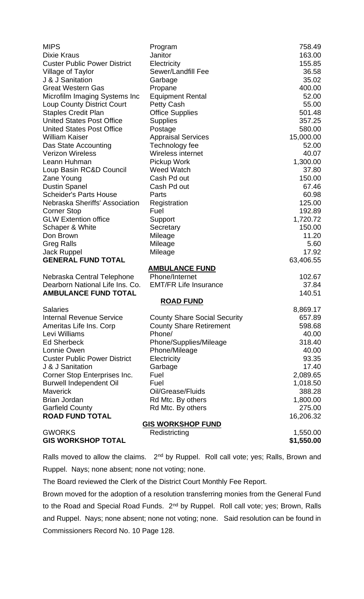| <b>MIPS</b>                         | Program                             | 758.49     |
|-------------------------------------|-------------------------------------|------------|
| <b>Dixie Kraus</b>                  | Janitor                             | 163.00     |
| <b>Custer Public Power District</b> | Electricity                         | 155.85     |
| Village of Taylor                   | <b>Sewer/Landfill Fee</b>           | 36.58      |
| J & J Sanitation                    | Garbage                             | 35.02      |
| <b>Great Western Gas</b>            | Propane                             | 400.00     |
| Microfilm Imaging Systems Inc       | <b>Equipment Rental</b>             | 52.00      |
| <b>Loup County District Court</b>   | <b>Petty Cash</b>                   | 55.00      |
| <b>Staples Credit Plan</b>          | <b>Office Supplies</b>              | 501.48     |
| <b>United States Post Office</b>    | <b>Supplies</b>                     | 357.25     |
| <b>United States Post Office</b>    | Postage                             | 580.00     |
| <b>William Kaiser</b>               | <b>Appraisal Services</b>           | 15,000.00  |
| Das State Accounting                | Technology fee                      | 52.00      |
| <b>Verizon Wireless</b>             | Wireless internet                   | 40.07      |
| Leann Huhman                        | Pickup Work                         | 1,300.00   |
| Loup Basin RC&D Council             | <b>Weed Watch</b>                   | 37.80      |
| Zane Young                          | Cash Pd out                         | 150.00     |
| <b>Dustin Spanel</b>                | Cash Pd out                         | 67.46      |
| <b>Scheider's Parts House</b>       | Parts                               | 60.98      |
| Nebraska Sheriffs' Association      | Registration                        | 125.00     |
| <b>Corner Stop</b>                  | Fuel                                | 192.89     |
| <b>GLW Extention office</b>         | Support                             | 1,720.72   |
| Schaper & White                     | Secretary                           | 150.00     |
| Don Brown                           | Mileage                             | 11.20      |
| <b>Greg Ralls</b>                   | Mileage                             | 5.60       |
| <b>Jack Ruppel</b>                  | Mileage                             | 17.92      |
| <b>GENERAL FUND TOTAL</b>           |                                     | 63,406.55  |
|                                     | <b>AMBULANCE FUND</b>               |            |
| Nebraska Central Telephone          | Phone/Internet                      | 102.67     |
| Dearborn National Life Ins. Co.     | <b>EMT/FR Life Insurance</b>        | 37.84      |
| <b>AMBULANCE FUND TOTAL</b>         |                                     | 140.51     |
|                                     | <b>ROAD FUND</b>                    |            |
| <b>Salaries</b>                     |                                     | 8,869.17   |
| <b>Internal Revenue Service</b>     | <b>County Share Social Security</b> | 657.89     |
| Ameritas Life Ins. Corp             | <b>County Share Retirement</b>      | 598.68     |
| Levi Williams                       | Phone/                              | 40.00      |
| <b>Ed Sherbeck</b>                  | Phone/Supplies/Mileage              | 318.40     |
| Lonnie Owen                         | Phone/Mileage                       | 40.00      |
| <b>Custer Public Power District</b> | Electricity                         | 93.35      |
| J & J Sanitation                    | Garbage                             | 17.40      |
| Corner Stop Enterprises Inc.        | Fuel                                | 2,089.65   |
| <b>Burwell Independent Oil</b>      | Fuel                                | 1,018.50   |
| <b>Maverick</b>                     | Oil/Grease/Fluids                   | 388.28     |
| <b>Brian Jordan</b>                 | Rd Mtc. By others                   | 1,800.00   |
| <b>Garfield County</b>              | Rd Mtc. By others                   | 275.00     |
| <b>ROAD FUND TOTAL</b>              |                                     | 16,206.32  |
|                                     | <u>GIS WORKSHOP FUND</u>            |            |
| <b>GWORKS</b>                       | Redistricting                       | 1,550.00   |
| <b>GIS WORKSHOP TOTAL</b>           |                                     | \$1,550.00 |

Ralls moved to allow the claims. 2<sup>nd</sup> by Ruppel. Roll call vote; yes; Ralls, Brown and Ruppel. Nays; none absent; none not voting; none.

The Board reviewed the Clerk of the District Court Monthly Fee Report.

Brown moved for the adoption of a resolution transferring monies from the General Fund to the Road and Special Road Funds. 2<sup>nd</sup> by Ruppel. Roll call vote; yes; Brown, Ralls and Ruppel. Nays; none absent; none not voting; none. Said resolution can be found in Commissioners Record No. 10 Page 128.